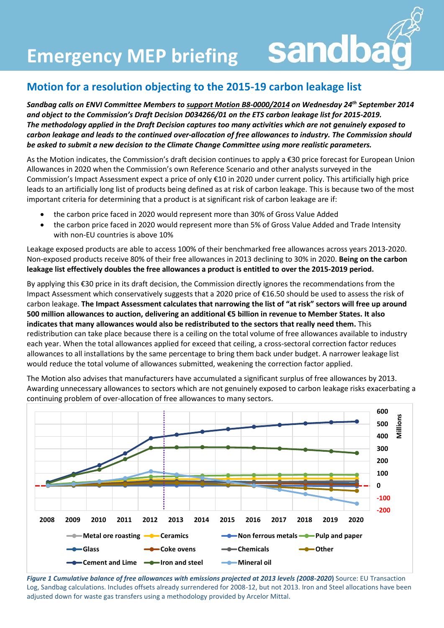**Emergency MEP briefing Sandba** 

## **Motion for a resolution objecting to the 2015-19 carbon leakage list**

*Sandbag calls on ENVI Committee Members to support Motion B8-0000/2014 on Wednesday 24th September 2014 and object to the Commission's Draft Decision D034266/01 on the ETS carbon leakage list for 2015-2019. The methodology applied in the Draft Decision captures too many activities which are not genuinely exposed to carbon leakage and leads to the continued over-allocation of free allowances to industry. The Commission should be asked to submit a new decision to the Climate Change Committee using more realistic parameters.* 

As the Motion indicates, the Commission's draft decision continues to apply a €30 price forecast for European Union Allowances in 2020 when the Commission's own Reference Scenario and other analysts surveyed in the Commission's Impact Assessment expect a price of only €10 in 2020 under current policy. This artificially high price leads to an artificially long list of products being defined as at risk of carbon leakage. This is because two of the most important criteria for determining that a product is at significant risk of carbon leakage are if:

- the carbon price faced in 2020 would represent more than 30% of Gross Value Added
- the carbon price faced in 2020 would represent more than 5% of Gross Value Added and Trade Intensity with non-EU countries is above 10%

Leakage exposed products are able to access 100% of their benchmarked free allowances across years 2013-2020. Non-exposed products receive 80% of their free allowances in 2013 declining to 30% in 2020. **Being on the carbon leakage list effectively doubles the free allowances a product is entitled to over the 2015-2019 period.**

By applying this €30 price in its draft decision, the Commission directly ignores the recommendations from the Impact Assessment which conservatively suggests that a 2020 price of €16.50 should be used to assess the risk of carbon leakage. **The Impact Assessment calculates that narrowing the list of "at risk" sectors will free up around 500 million allowances to auction, delivering an additional €5 billion in revenue to Member States. It also indicates that many allowances would also be redistributed to the sectors that really need them.** This redistribution can take place because there is a ceiling on the total volume of free allowances available to industry each year. When the total allowances applied for exceed that ceiling, a cross-sectoral correction factor reduces allowances to all installations by the same percentage to bring them back under budget. A narrower leakage list would reduce the total volume of allowances submitted, weakening the correction factor applied.

The Motion also advises that manufacturers have accumulated a significant surplus of free allowances by 2013. Awarding unnecessary allowances to sectors which are not genuinely exposed to carbon leakage risks exacerbating a continuing problem of over-allocation of free allowances to many sectors.



*Figure 1 Cumulative balance of free allowances with emissions projected at 2013 levels (2008-2020***)** Source: EU Transaction Log, Sandbag calculations. Includes offsets already surrendered for 2008-12, but not 2013. Iron and Steel allocations have been adjusted down for waste gas transfers using a methodology provided by Arcelor Mittal.